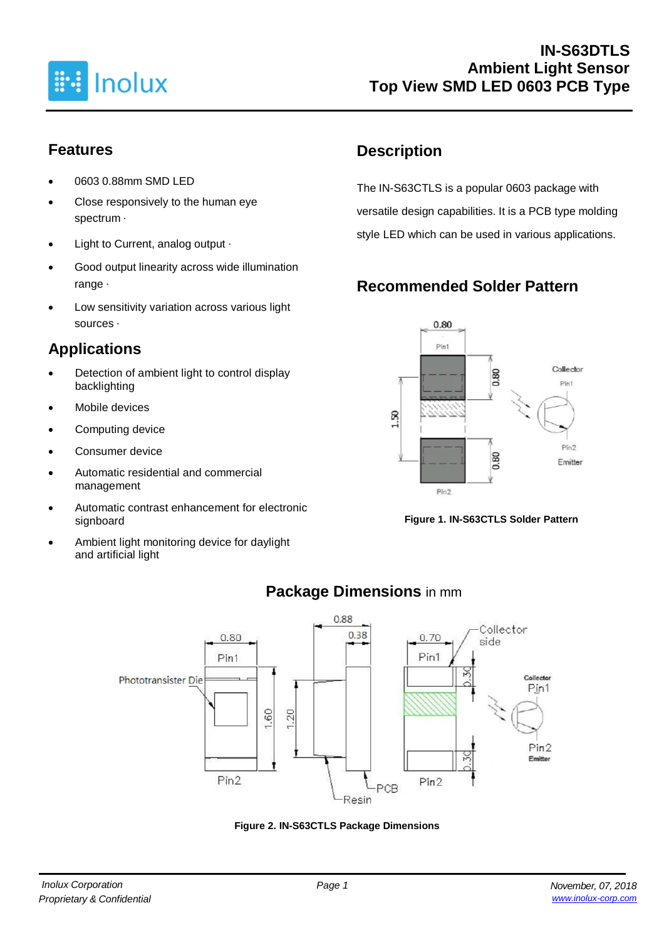

## **Features**

- 0603 0.88mm SMD LED
- Close responsively to the human eye spectrum ·
- Light to Current, analog output ‧
- Good output linearity across wide illumination range ‧
- Low sensitivity variation across various light sources ‧

## **Applications**

- Detection of ambient light to control display backlighting
- Mobile devices
- Computing device
- Consumer device
- Automatic residential and commercial management
- Automatic contrast enhancement for electronic signboard
- Ambient light monitoring device for daylight and artificial light

## **Description**

The IN-S63CTLS is a popular 0603 package with versatile design capabilities. It is a PCB type molding style LED which can be used in various applications.

# **Recommended Solder Pattern**



**Figure 1. IN-S63CTLS Solder Pattern**



## **Package Dimensions** in mm

**Figure 2. IN-S63CTLS Package Dimensions**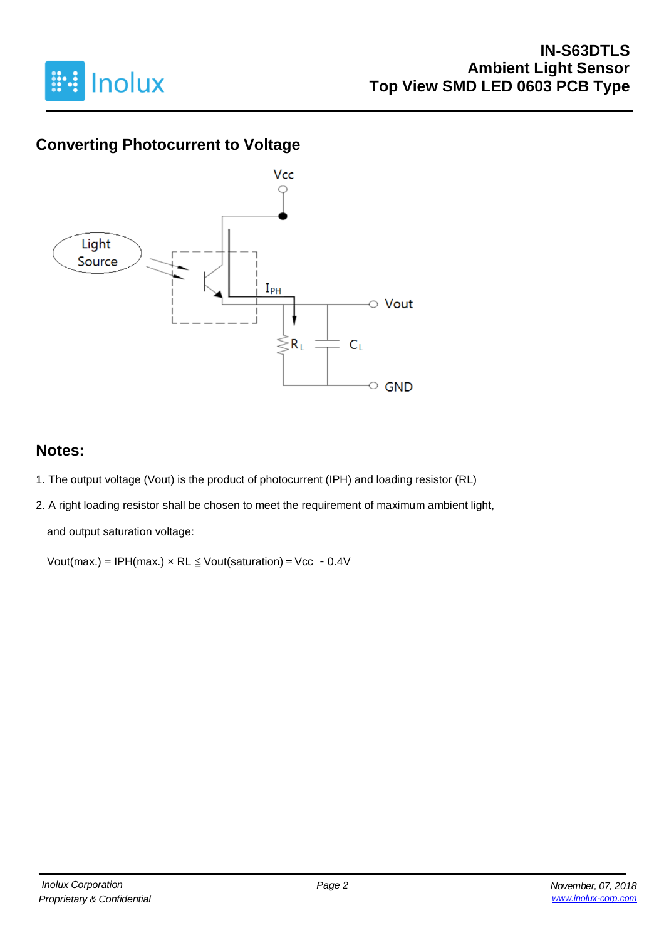

## **Converting Photocurrent to Voltage**



### **Notes:**

- 1. The output voltage (Vout) is the product of photocurrent (IPH) and loading resistor (RL)
- 2. A right loading resistor shall be chosen to meet the requirement of maximum ambient light,

and output saturation voltage:

Vout(max.) = IPH(max.)  $\times$  RL  $\leq$  Vout(saturation) = Vcc - 0.4V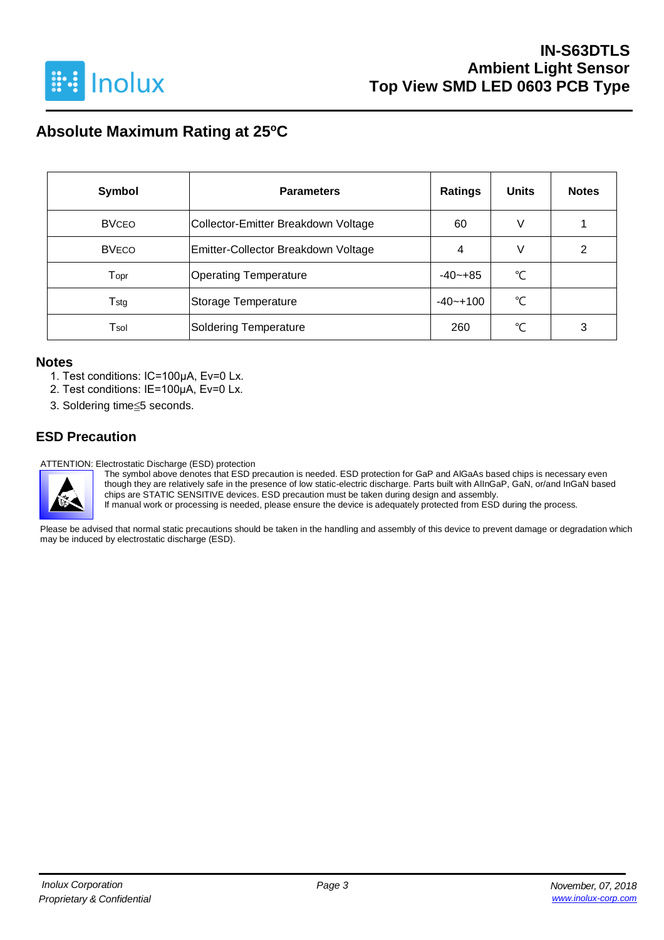

## **Absolute Maximum Rating at 25<sup>o</sup>C**

| <b>Symbol</b> | <b>Parameters</b>                   | <b>Ratings</b> | <b>Units</b> | <b>Notes</b> |
|---------------|-------------------------------------|----------------|--------------|--------------|
| <b>BVCEO</b>  | Collector-Emitter Breakdown Voltage | 60             | V            |              |
| <b>BVECO</b>  | Emitter-Collector Breakdown Voltage | 4              | V            | 2            |
| Topr          | <b>Operating Temperature</b>        |                | °C           |              |
| $T_{\rm stg}$ | Storage Temperature                 |                | °C           |              |
| Tsol          | Soldering Temperature               | 260            | ℃            | 3            |

#### **Notes**

- 1. Test conditions: IC=100μA, Ev=0 Lx.
- 2. Test conditions: IE=100μA, Ev=0 Lx.
- 3. Soldering time≦5 seconds.

### **ESD Precaution**

ATTENTION: Electrostatic Discharge (ESD) protection



The symbol above denotes that ESD precaution is needed. ESD protection for GaP and AlGaAs based chips is necessary even though they are relatively safe in the presence of low static-electric discharge. Parts built with AlInGaP, GaN, or/and InGaN based chips are STATIC SENSITIVE devices. ESD precaution must be taken during design and assembly.

If manual work or processing is needed, please ensure the device is adequately protected from ESD during the process.

Please be advised that normal static precautions should be taken in the handling and assembly of this device to prevent damage or degradation which may be induced by electrostatic discharge (ESD).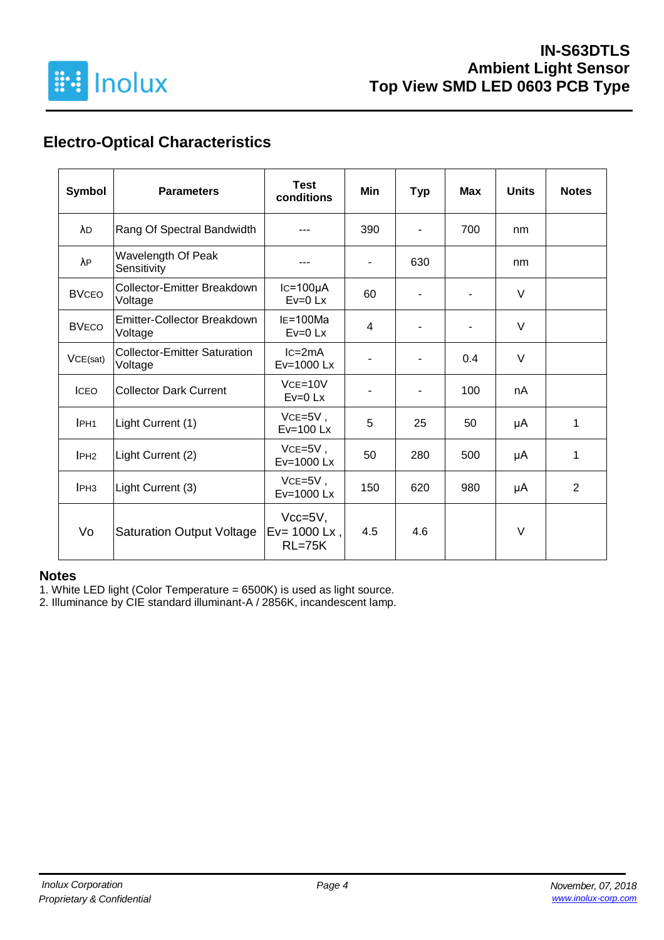

## **Electro-Optical Characteristics**

| <b>Symbol</b>    | <b>Parameters</b>                              | <b>Test</b><br>conditions                  | <b>Min</b>               | <b>Typ</b>               | <b>Max</b> | <b>Units</b> | <b>Notes</b>   |
|------------------|------------------------------------------------|--------------------------------------------|--------------------------|--------------------------|------------|--------------|----------------|
| λD               | Rang Of Spectral Bandwidth                     |                                            | 390                      | $\overline{\phantom{a}}$ | 700        | nm           |                |
| λP               | Wavelength Of Peak<br>Sensitivity              |                                            | $\overline{\phantom{0}}$ | 630                      |            | nm           |                |
| <b>BVCEO</b>     | Collector-Emitter Breakdown<br>Voltage         | $lc=100\mu A$<br>$Ev=0$ Lx                 | 60                       | ٠                        |            | $\vee$       |                |
| <b>BVECO</b>     | <b>Emitter-Collector Breakdown</b><br>Voltage  | $IE=100Ma$<br>$Ev=0$ Lx                    | 4                        |                          |            | $\vee$       |                |
| VCE(sat)         | <b>Collector-Emitter Saturation</b><br>Voltage | $lc = 2mA$<br>Ev=1000 Lx                   |                          |                          | 0.4        | $\vee$       |                |
| <b>ICEO</b>      | <b>Collector Dark Current</b>                  | $VCE=10V$<br>$Ev=0$ Lx                     |                          | $\blacksquare$           | 100        | nA           |                |
| IPH <sub>1</sub> | Light Current (1)                              | $VCE=5V$ ,<br>$Ev=100$ Lx                  | 5                        | 25                       | 50         | μA           | 1              |
| IPH <sub>2</sub> | Light Current (2)                              | $VCE=5V$ ,<br>Ev=1000 Lx                   | 50                       | 280                      | 500        | μA           | 1              |
| IPH <sub>3</sub> | Light Current (3)                              | $VCE=5V$ ,<br>Ev=1000 Lx                   | 150                      | 620                      | 980        | μA           | $\overline{2}$ |
| Vo               | <b>Saturation Output Voltage</b>               | $Vcc=5V,$<br>$Ev = 1000$ Lx,<br>$RL = 75K$ | 4.5                      | 4.6                      |            | $\vee$       |                |

#### **Notes**

1. White LED light (Color Temperature = 6500K) is used as light source.

2. Illuminance by CIE standard illuminant-A / 2856K, incandescent lamp.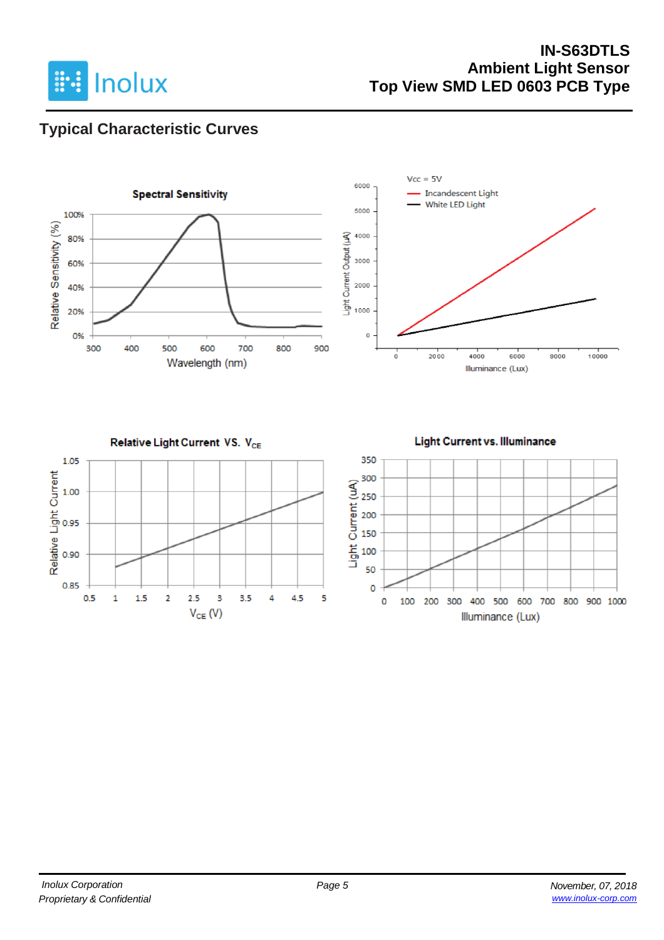

### **IN-S63DTLS Ambient Light Sensor Top View SMD LED 0603 PCB Type**

## **Typical Characteristic Curves**

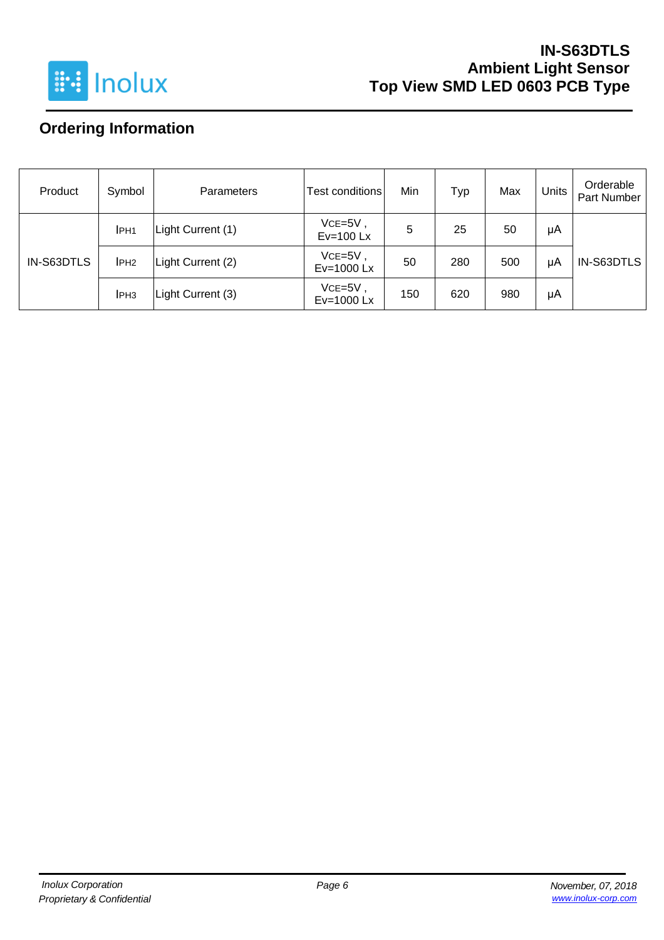

## **IN-S63DTLS Ambient Light Sensor Top View SMD LED 0603 PCB Type**

# **Ordering Information**

| Product    | Symbol           | <b>Parameters</b> | Test conditions           | Min | Typ | Max | Units | Orderable<br>Part Number |
|------------|------------------|-------------------|---------------------------|-----|-----|-----|-------|--------------------------|
| IN-S63DTLS | IPH <sub>1</sub> | Light Current (1) | $VCE=5V$ ,<br>$Ev=100$ Lx | 5   | 25  | 50  | μA    |                          |
|            | IPH <sub>2</sub> | Light Current (2) | $VCE = 5V$<br>Ev=1000 Lx  | 50  | 280 | 500 | μA    | IN-S63DTLS               |
|            | IPH <sub>3</sub> | Light Current (3) | $VCE = 5V$<br>Ev=1000 Lx  | 150 | 620 | 980 | μA    |                          |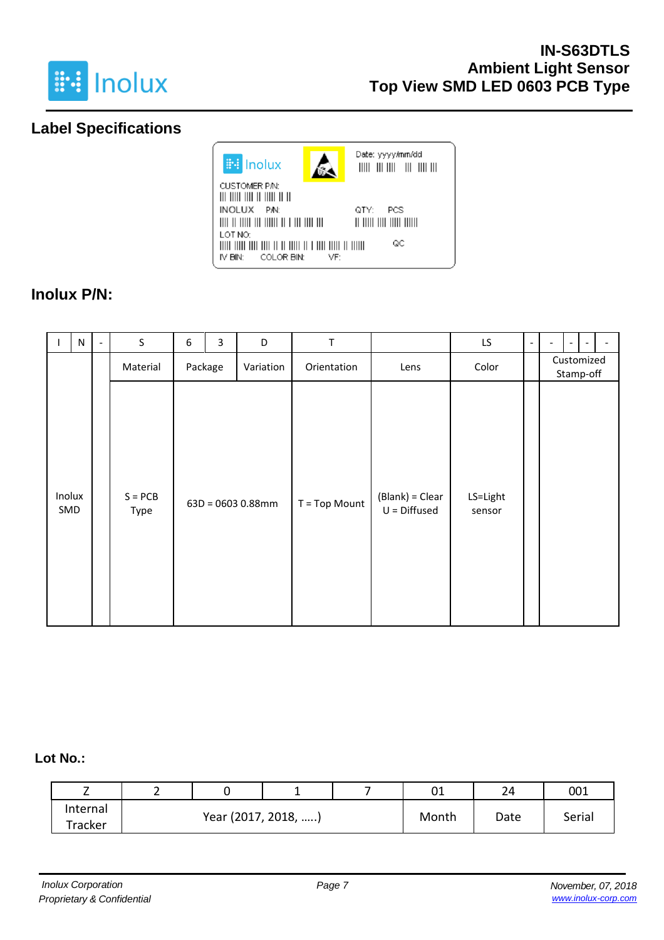

## **Label Specifications**



## **Inolux P/N:**

|               | $\mathsf{N}$ | $\overline{\phantom{a}}$ | S                 | 6 | $\overline{3}$ | D                 | T               |                                   | LS.                | $\overline{\phantom{0}}$ | ۰ | $\overline{\phantom{a}}$ |                         |  |
|---------------|--------------|--------------------------|-------------------|---|----------------|-------------------|-----------------|-----------------------------------|--------------------|--------------------------|---|--------------------------|-------------------------|--|
|               |              |                          | Material          |   | Package        | Variation         | Orientation     | Lens                              | Color              |                          |   |                          | Customized<br>Stamp-off |  |
| Inolux<br>SMD |              |                          | $S = PCB$<br>Type |   |                | 63D = 0603 0.88mm | $T = Top Mount$ | (Blank) = Clear<br>$U = Diffused$ | LS=Light<br>sensor |                          |   |                          |                         |  |

### **Lot No.:**

| -        | - |                     |  |       | 01   | 24     | 001 |
|----------|---|---------------------|--|-------|------|--------|-----|
| Internal |   | Year (2017, 2018, ) |  | Month | Date | Serial |     |
| Tracker  |   |                     |  |       |      |        |     |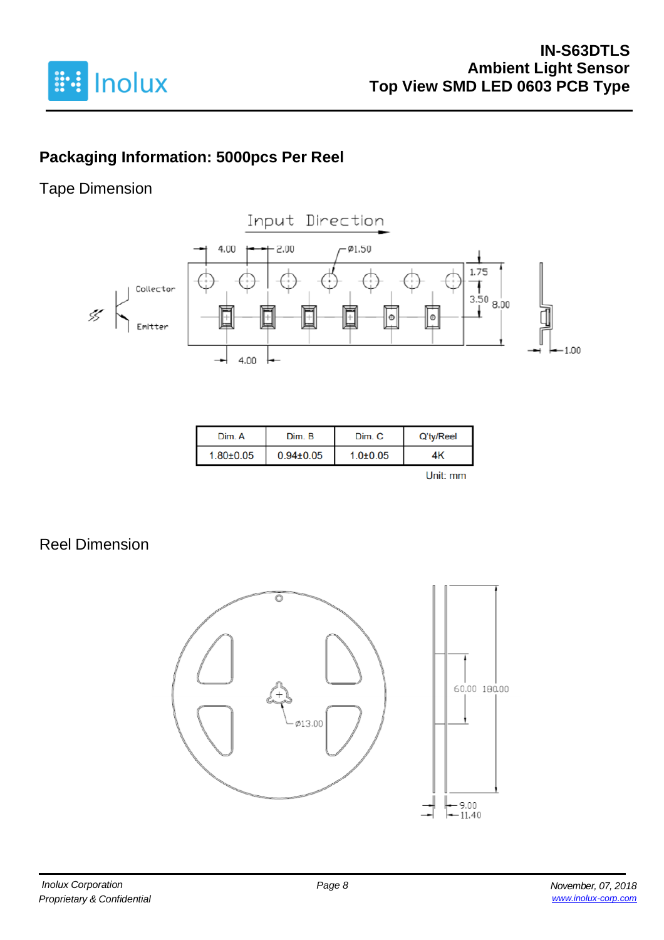

# **Packaging Information: 5000pcs Per Reel**

## Tape Dimension



| Dim. A          | Dim. B          | Dim. C       | Q'ty/Reel |
|-----------------|-----------------|--------------|-----------|
| $1.80 \pm 0.05$ | $0.94 \pm 0.05$ | $1.0 + 0.05$ | 4K        |
|                 |                 |              | Lleit eas |

Unit: mm

## Reel Dimension

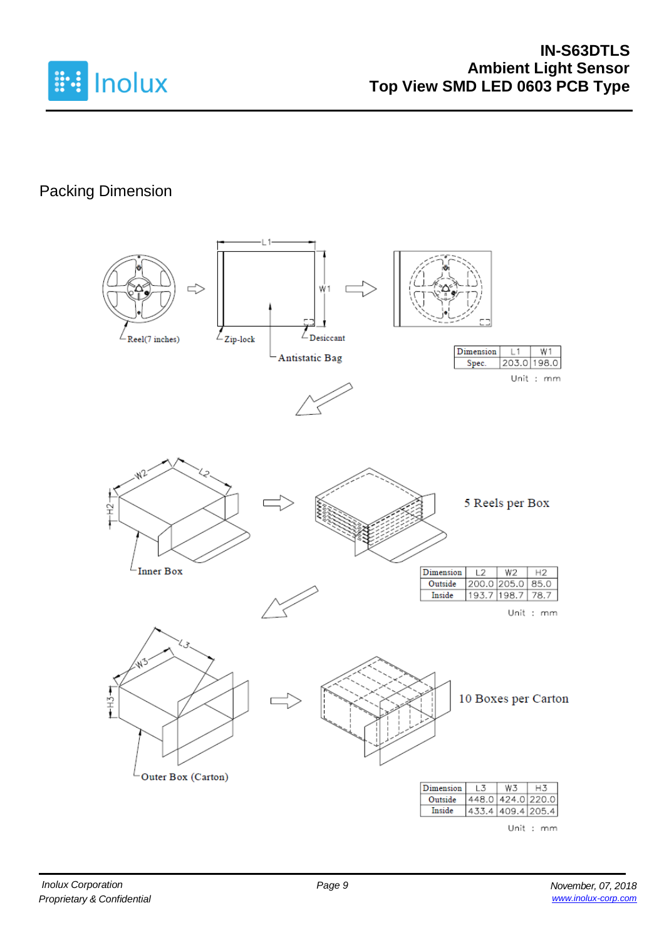

# Packing Dimension

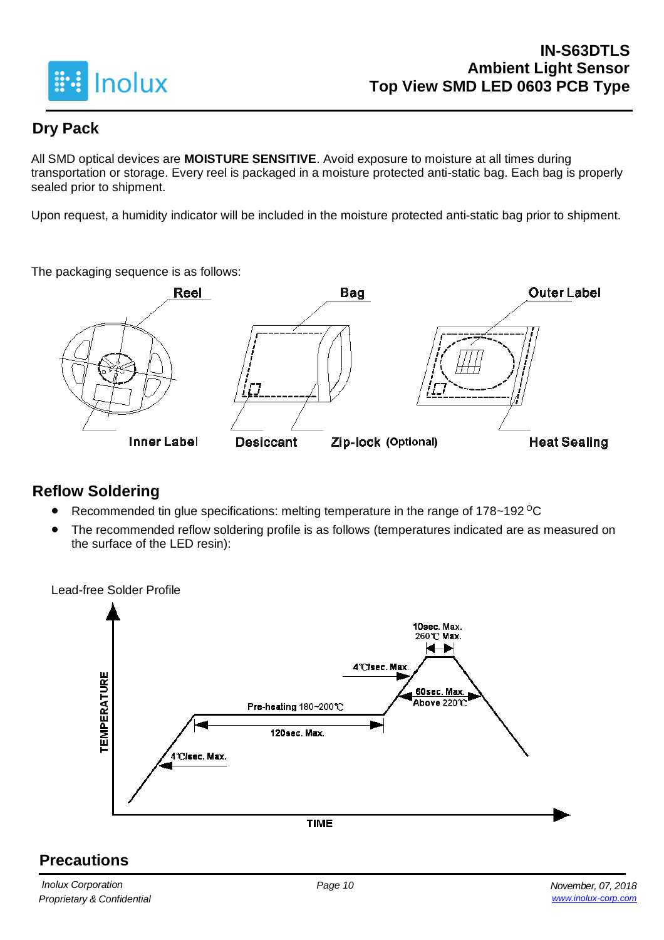

## **Dry Pack**

All SMD optical devices are **MOISTURE SENSITIVE**. Avoid exposure to moisture at all times during transportation or storage. Every reel is packaged in a moisture protected anti-static bag. Each bag is properly sealed prior to shipment.

Upon request, a humidity indicator will be included in the moisture protected anti-static bag prior to shipment.

The packaging sequence is as follows:



## **Reflow Soldering**

- Recommended tin glue specifications: melting temperature in the range of 178~192 <sup>o</sup>C
- The recommended reflow soldering profile is as follows (temperatures indicated are as measured on the surface of the LED resin):

Lead-free Solder Profile 10sec. Max. 260℃ Max. ← 4°C/sec. Max **TEMPERATURE** 60sec. Max. Above 220℃ Pre-heating 180~200℃ 120sec. Max. 4°C/sec. Max. **TIME** 

## **Precautions**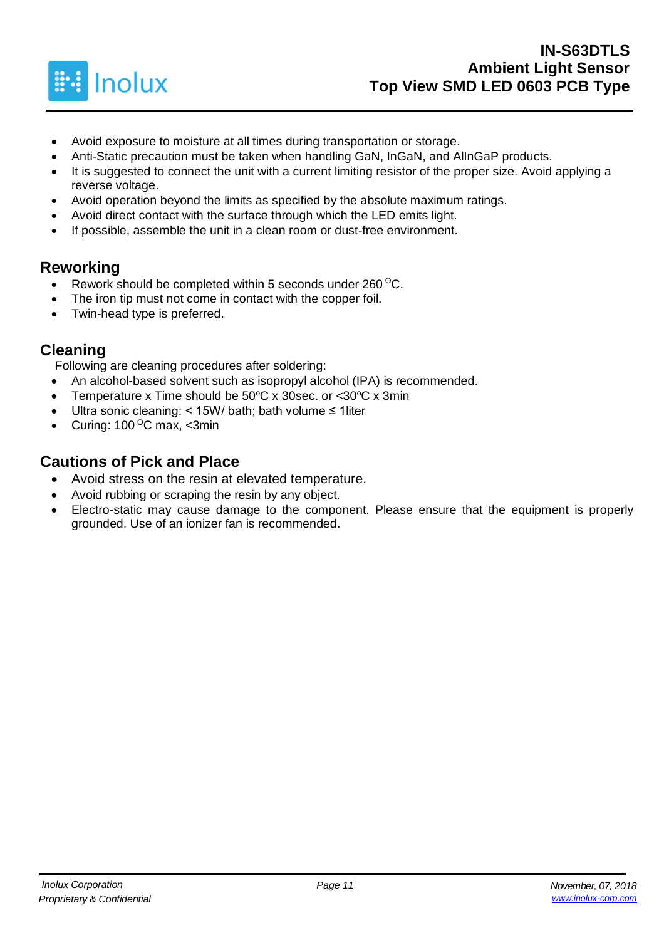

- Avoid exposure to moisture at all times during transportation or storage.
- Anti-Static precaution must be taken when handling GaN, InGaN, and AlInGaP products.
- It is suggested to connect the unit with a current limiting resistor of the proper size. Avoid applying a reverse voltage.
- Avoid operation beyond the limits as specified by the absolute maximum ratings.
- Avoid direct contact with the surface through which the LED emits light.
- If possible, assemble the unit in a clean room or dust-free environment.

### **Reworking**

- Rework should be completed within 5 seconds under  $260^{\circ}$ C.
- The iron tip must not come in contact with the copper foil.
- Twin-head type is preferred.

### **Cleaning**

Following are cleaning procedures after soldering:

- An alcohol-based solvent such as isopropyl alcohol (IPA) is recommended.
- Temperature x Time should be  $50^{\circ}$ C x 30sec. or <30 $^{\circ}$ C x 3min
- Ultra sonic cleaning: < 15W/ bath; bath volume ≤ 1liter
- Curing:  $100^{\circ}$ C max, <3min

### **Cautions of Pick and Place**

- Avoid stress on the resin at elevated temperature.
- Avoid rubbing or scraping the resin by any object.
- Electro-static may cause damage to the component. Please ensure that the equipment is properly grounded. Use of an ionizer fan is recommended.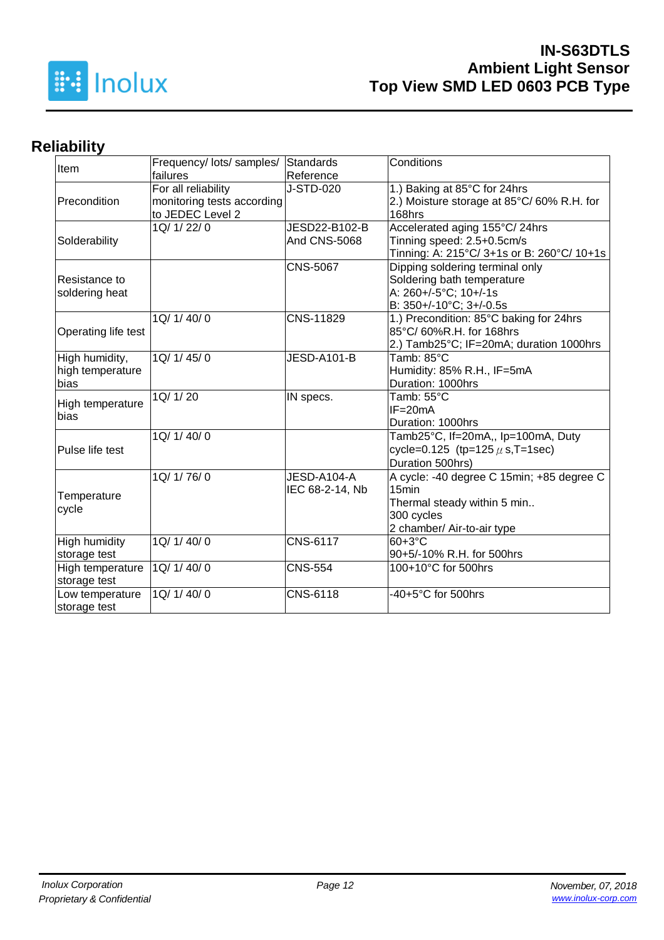

## **Reliability**

| Item                 | Frequency/ lots/ samples/<br>failures             | Standards<br>Reference | Conditions                                                                |  |  |  |
|----------------------|---------------------------------------------------|------------------------|---------------------------------------------------------------------------|--|--|--|
| Precondition         | For all reliability<br>monitoring tests according | J-STD-020              | 1.) Baking at 85°C for 24hrs<br>2.) Moisture storage at 85°C/60% R.H. for |  |  |  |
|                      | to JEDEC Level 2                                  |                        | 168hrs                                                                    |  |  |  |
|                      | 1Q/ 1/ 22/ 0                                      | JESD22-B102-B          | Accelerated aging 155°C/24hrs                                             |  |  |  |
| Solderability        |                                                   | And CNS-5068           | Tinning speed: 2.5+0.5cm/s                                                |  |  |  |
|                      |                                                   |                        | Tinning: A: 215°C/ 3+1s or B: 260°C/ 10+1s                                |  |  |  |
|                      |                                                   | <b>CNS-5067</b>        | Dipping soldering terminal only                                           |  |  |  |
| Resistance to        |                                                   |                        | Soldering bath temperature                                                |  |  |  |
| soldering heat       |                                                   |                        | A: 260+/-5°C; 10+/-1s                                                     |  |  |  |
|                      |                                                   |                        | B: 350+/-10°C; 3+/-0.5s                                                   |  |  |  |
|                      | 1Q/ 1/ 40/ 0                                      | CNS-11829              | 1.) Precondition: 85°C baking for 24hrs                                   |  |  |  |
| Operating life test  |                                                   |                        | 85°C/60%R.H. for 168hrs                                                   |  |  |  |
|                      |                                                   |                        | 2.) Tamb25°C; IF=20mA; duration 1000hrs                                   |  |  |  |
| High humidity,       | 1Q/ 1/ 45/ 0                                      | <b>JESD-A101-B</b>     | Tamb: 85°C                                                                |  |  |  |
| high temperature     |                                                   |                        | Humidity: 85% R.H., IF=5mA                                                |  |  |  |
| bias                 |                                                   |                        | Duration: 1000hrs                                                         |  |  |  |
|                      | 1Q/ 1/ 20                                         | IN specs.              | Tamb: 55°C                                                                |  |  |  |
| High temperature     |                                                   |                        | $IF = 20mA$                                                               |  |  |  |
| bias                 |                                                   |                        | Duration: 1000hrs                                                         |  |  |  |
|                      | 1Q/1/40/0                                         |                        | Tamb25°C, If=20mA,, Ip=100mA, Duty                                        |  |  |  |
| Pulse life test      |                                                   |                        | cycle=0.125 (tp=125 $\mu$ s, T=1sec)                                      |  |  |  |
|                      |                                                   |                        | Duration 500hrs)                                                          |  |  |  |
|                      | 1Q/ 1/ 76/ 0                                      | JESD-A104-A            | A cycle: -40 degree C 15min; +85 degree C                                 |  |  |  |
|                      |                                                   | IEC 68-2-14, Nb        | 15min                                                                     |  |  |  |
| Temperature          |                                                   |                        | Thermal steady within 5 min                                               |  |  |  |
| cycle                |                                                   |                        | 300 cycles                                                                |  |  |  |
|                      |                                                   |                        | 2 chamber/ Air-to-air type                                                |  |  |  |
| <b>High humidity</b> | 1Q/ 1/ 40/ 0                                      | <b>CNS-6117</b>        | 60+3°C                                                                    |  |  |  |
| storage test         |                                                   |                        | 90+5/-10% R.H. for 500hrs                                                 |  |  |  |
| High temperature     | 1Q/ 1/ 40/ 0                                      | <b>CNS-554</b>         | 100+10°C for 500hrs                                                       |  |  |  |
| storage test         |                                                   |                        |                                                                           |  |  |  |
| Low temperature      | 1Q/ 1/ 40/ 0                                      | CNS-6118               | -40+5°C for 500hrs                                                        |  |  |  |
| storage test         |                                                   |                        |                                                                           |  |  |  |